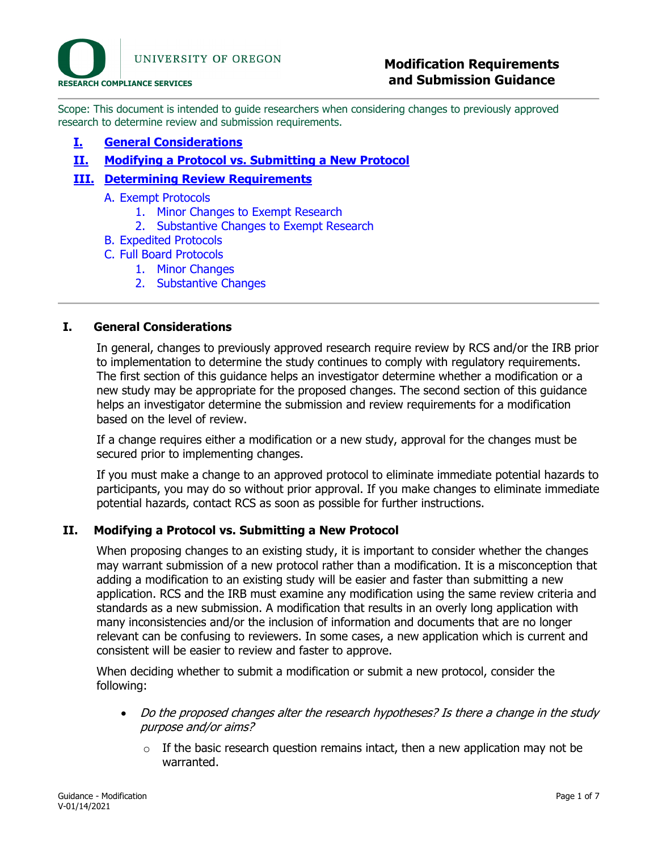Scope: This document is intended to guide researchers when considering changes to previously approved research to determine review and submission requirements.

## **I. [General Considerations](#page-0-0)**

**II. Modifying [a Protocol vs. Submitting a New Protocol](#page-0-1)**

# **III. [Determining Review Requirements](#page-2-0)**

- A. [Exempt Protocols](#page-2-1)
	- 1. [Minor Changes to Exempt Research](#page-2-2)
	- 2. [Substantive Changes to Exempt Research](#page-3-0)
- B. [Expedited Protocols](#page-4-0)
- C. [Full Board Protocols](#page-4-1)
	- 1. [Minor Changes](#page-5-0)
		- 2. [Substantive Changes](#page-5-1)

#### <span id="page-0-0"></span>**I. General Considerations**

In general, changes to previously approved research require review by RCS and/or the IRB prior to implementation to determine the study continues to comply with regulatory requirements. The first section of this guidance helps an investigator determine whether a modification or a new study may be appropriate for the proposed changes. The second section of this guidance helps an investigator determine the submission and review requirements for a modification based on the level of review.

If a change requires either a modification or a new study, approval for the changes must be secured prior to implementing changes.

If you must make a change to an approved protocol to eliminate immediate potential hazards to participants, you may do so without prior approval. If you make changes to eliminate immediate potential hazards, contact RCS as soon as possible for further instructions.

## <span id="page-0-1"></span>**II. Modifying a Protocol vs. Submitting a New Protocol**

When proposing changes to an existing study, it is important to consider whether the changes may warrant submission of a new protocol rather than a modification. It is a misconception that adding a modification to an existing study will be easier and faster than submitting a new application. RCS and the IRB must examine any modification using the same review criteria and standards as a new submission. A modification that results in an overly long application with many inconsistencies and/or the inclusion of information and documents that are no longer relevant can be confusing to reviewers. In some cases, a new application which is current and consistent will be easier to review and faster to approve.

When deciding whether to submit a modification or submit a new protocol, consider the following:

- Do the proposed changes alter the research hypotheses? Is there a change in the study purpose and/or aims?
	- $\circ$  If the basic research question remains intact, then a new application may not be warranted.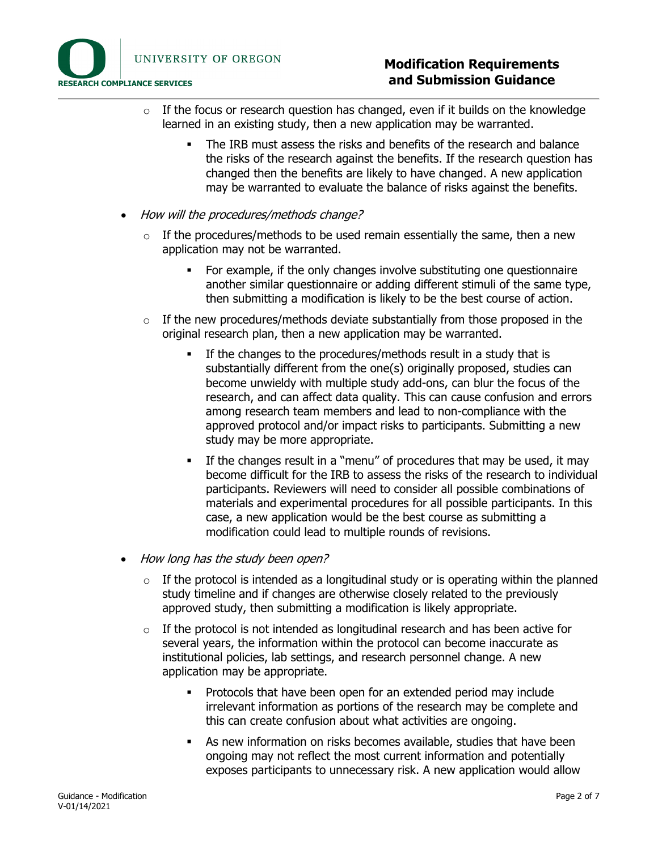

- $\circ$  If the focus or research question has changed, even if it builds on the knowledge learned in an existing study, then a new application may be warranted.
	- The IRB must assess the risks and benefits of the research and balance the risks of the research against the benefits. If the research question has changed then the benefits are likely to have changed. A new application may be warranted to evaluate the balance of risks against the benefits.
- How will the procedures/methods change?
	- $\circ$  If the procedures/methods to be used remain essentially the same, then a new application may not be warranted.
		- For example, if the only changes involve substituting one questionnaire another similar questionnaire or adding different stimuli of the same type, then submitting a modification is likely to be the best course of action.
	- o If the new procedures/methods deviate substantially from those proposed in the original research plan, then a new application may be warranted.
		- If the changes to the procedures/methods result in a study that is substantially different from the one(s) originally proposed, studies can become unwieldy with multiple study add-ons, can blur the focus of the research, and can affect data quality. This can cause confusion and errors among research team members and lead to non-compliance with the approved protocol and/or impact risks to participants. Submitting a new study may be more appropriate.
		- If the changes result in a "menu" of procedures that may be used, it may become difficult for the IRB to assess the risks of the research to individual participants. Reviewers will need to consider all possible combinations of materials and experimental procedures for all possible participants. In this case, a new application would be the best course as submitting a modification could lead to multiple rounds of revisions.
- How long has the study been open?
	- $\circ$  If the protocol is intended as a longitudinal study or is operating within the planned study timeline and if changes are otherwise closely related to the previously approved study, then submitting a modification is likely appropriate.
	- $\circ$  If the protocol is not intended as longitudinal research and has been active for several years, the information within the protocol can become inaccurate as institutional policies, lab settings, and research personnel change. A new application may be appropriate.
		- Protocols that have been open for an extended period may include irrelevant information as portions of the research may be complete and this can create confusion about what activities are ongoing.
		- As new information on risks becomes available, studies that have been ongoing may not reflect the most current information and potentially exposes participants to unnecessary risk. A new application would allow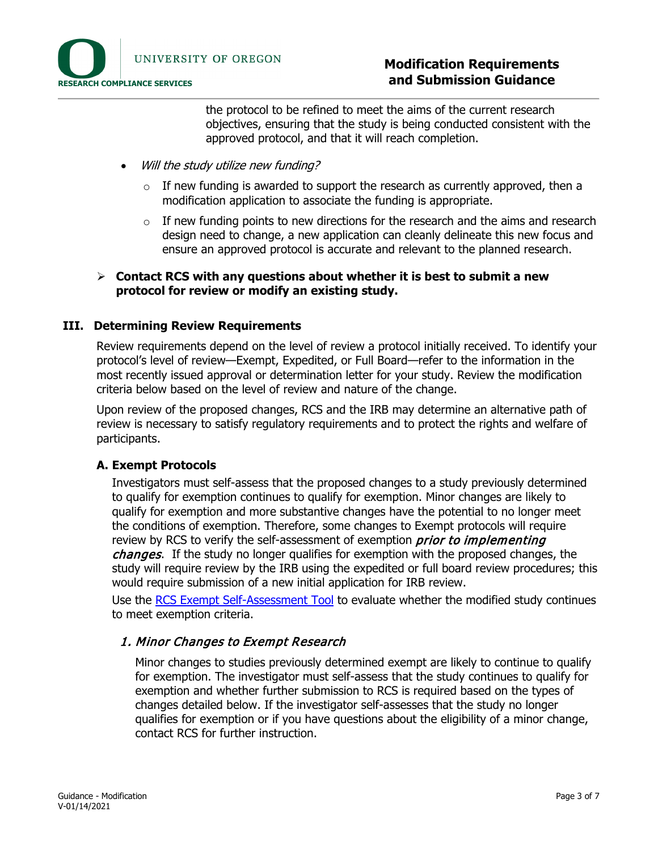

# **Modification Requirements and Submission Guidance**

the protocol to be refined to meet the aims of the current research objectives, ensuring that the study is being conducted consistent with the approved protocol, and that it will reach completion.

- Will the study utilize new funding?
	- $\circ$  If new funding is awarded to support the research as currently approved, then a modification application to associate the funding is appropriate.
	- $\circ$  If new funding points to new directions for the research and the aims and research design need to change, a new application can cleanly delineate this new focus and ensure an approved protocol is accurate and relevant to the planned research.

#### **Contact RCS with any questions about whether it is best to submit a new protocol for review or modify an existing study.**

#### <span id="page-2-0"></span>**III. Determining Review Requirements**

Review requirements depend on the level of review a protocol initially received. To identify your protocol's level of review—Exempt, Expedited, or Full Board—refer to the information in the most recently issued approval or determination letter for your study. Review the modification criteria below based on the level of review and nature of the change.

Upon review of the proposed changes, RCS and the IRB may determine an alternative path of review is necessary to satisfy regulatory requirements and to protect the rights and welfare of participants.

## <span id="page-2-1"></span>**A. Exempt Protocols**

Investigators must self-assess that the proposed changes to a study previously determined to qualify for exemption continues to qualify for exemption. Minor changes are likely to qualify for exemption and more substantive changes have the potential to no longer meet the conditions of exemption. Therefore, some changes to Exempt protocols will require review by RCS to verify the self-assessment of exemption *prior to implementing* changes. If the study no longer qualifies for exemption with the proposed changes, the study will require review by the IRB using the expedited or full board review procedures; this would require submission of a new initial application for IRB review.

<span id="page-2-2"></span>Use the [RCS Exempt Self-Assessment Tool](file://files/exempt-self-assessment-tool) to evaluate whether the modified study continues to meet exemption criteria.

## 1. Minor Changes to Exempt Research

Minor changes to studies previously determined exempt are likely to continue to qualify for exemption. The investigator must self-assess that the study continues to qualify for exemption and whether further submission to RCS is required based on the types of changes detailed below. If the investigator self-assesses that the study no longer qualifies for exemption or if you have questions about the eligibility of a minor change, contact RCS for further instruction.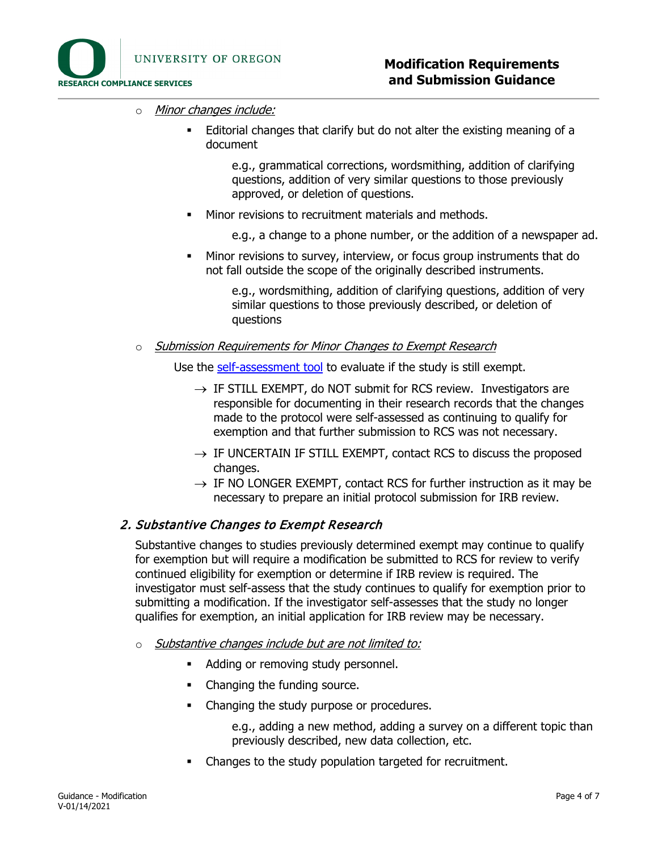

- o Minor changes include:
	- Editorial changes that clarify but do not alter the existing meaning of a document

e.g., grammatical corrections, wordsmithing, addition of clarifying questions, addition of very similar questions to those previously approved, or deletion of questions.

**Minor revisions to recruitment materials and methods.** 

e.g., a change to a phone number, or the addition of a newspaper ad.

 Minor revisions to survey, interview, or focus group instruments that do not fall outside the scope of the originally described instruments.

> e.g., wordsmithing, addition of clarifying questions, addition of very similar questions to those previously described, or deletion of questions

o Submission Requirements for Minor Changes to Exempt Research

Use the [self-assessment tool](file://files/exempt-self-assessment-tool) to evaluate if the study is still exempt.

- $\rightarrow$  IF STILL EXEMPT, do NOT submit for RCS review. Investigators are responsible for documenting in their research records that the changes made to the protocol were self-assessed as continuing to qualify for exemption and that further submission to RCS was not necessary.
- $\rightarrow$  IF UNCERTAIN IF STILL EXEMPT, contact RCS to discuss the proposed changes.
- $\rightarrow$  IF NO LONGER EXEMPT, contact RCS for further instruction as it may be necessary to prepare an initial protocol submission for IRB review.

## <span id="page-3-0"></span>2. Substantive Changes to Exempt Research

Substantive changes to studies previously determined exempt may continue to qualify for exemption but will require a modification be submitted to RCS for review to verify continued eligibility for exemption or determine if IRB review is required. The investigator must self-assess that the study continues to qualify for exemption prior to submitting a modification. If the investigator self-assesses that the study no longer qualifies for exemption, an initial application for IRB review may be necessary.

- $\circ$  Substantive changes include but are not limited to:
	- Adding or removing study personnel.
	- Changing the funding source.
	- Changing the study purpose or procedures.

e.g., adding a new method, adding a survey on a different topic than previously described, new data collection, etc.

Changes to the study population targeted for recruitment.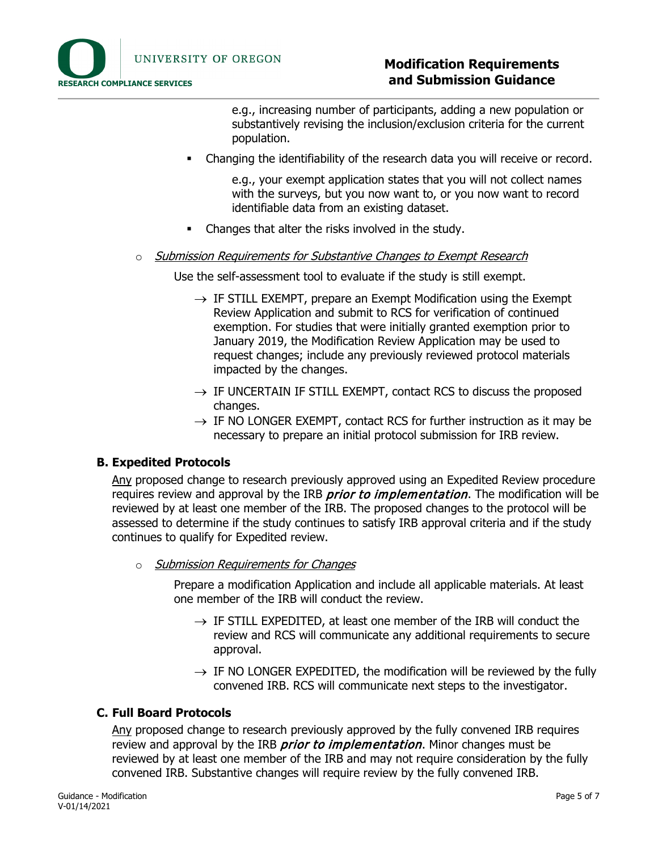

# **Modification Requirements and Submission Guidance**

e.g., increasing number of participants, adding a new population or substantively revising the inclusion/exclusion criteria for the current population.

Changing the identifiability of the research data you will receive or record.

e.g., your exempt application states that you will not collect names with the surveys, but you now want to, or you now want to record identifiable data from an existing dataset.

• Changes that alter the risks involved in the study.

#### o Submission Requirements for Substantive Changes to Exempt Research

Use the self-assessment tool to evaluate if the study is still exempt.

- $\rightarrow$  IF STILL EXEMPT, prepare an Exempt Modification using the Exempt Review Application and submit to RCS for verification of continued exemption. For studies that were initially granted exemption prior to January 2019, the Modification Review Application may be used to request changes; include any previously reviewed protocol materials impacted by the changes.
- $\rightarrow$  IF UNCERTAIN IF STILL EXEMPT, contact RCS to discuss the proposed changes.
- $\rightarrow$  IF NO LONGER EXEMPT, contact RCS for further instruction as it may be necessary to prepare an initial protocol submission for IRB review.

#### <span id="page-4-0"></span>**B. Expedited Protocols**

Any proposed change to research previously approved using an Expedited Review procedure requires review and approval by the IRB *prior to implementation*. The modification will be reviewed by at least one member of the IRB. The proposed changes to the protocol will be assessed to determine if the study continues to satisfy IRB approval criteria and if the study continues to qualify for Expedited review.

o Submission Requirements for Changes

Prepare a modification Application and include all applicable materials. At least one member of the IRB will conduct the review.

- $\rightarrow$  IF STILL EXPEDITED, at least one member of the IRB will conduct the review and RCS will communicate any additional requirements to secure approval.
- $\rightarrow$  IF NO LONGER EXPEDITED, the modification will be reviewed by the fully convened IRB. RCS will communicate next steps to the investigator.

## <span id="page-4-1"></span>**C. Full Board Protocols**

Any proposed change to research previously approved by the fully convened IRB requires review and approval by the IRB *prior to implementation*. Minor changes must be reviewed by at least one member of the IRB and may not require consideration by the fully convened IRB. Substantive changes will require review by the fully convened IRB.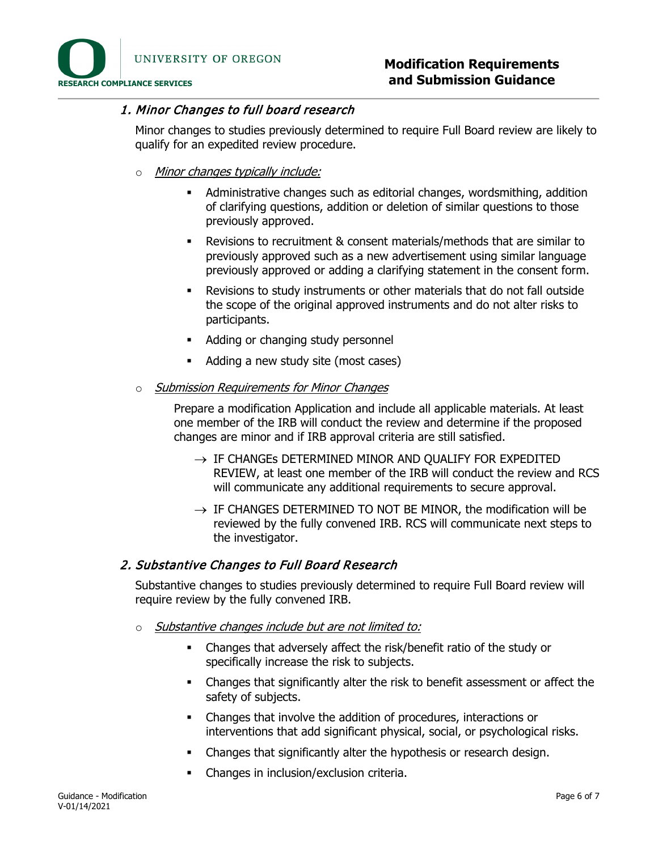

# <span id="page-5-0"></span>1. Minor Changes to full board research

Minor changes to studies previously determined to require Full Board review are likely to qualify for an expedited review procedure.

- o Minor changes typically include:
	- Administrative changes such as editorial changes, wordsmithing, addition of clarifying questions, addition or deletion of similar questions to those previously approved.
	- Revisions to recruitment & consent materials/methods that are similar to previously approved such as a new advertisement using similar language previously approved or adding a clarifying statement in the consent form.
	- Revisions to study instruments or other materials that do not fall outside the scope of the original approved instruments and do not alter risks to participants.
	- Adding or changing study personnel
	- Adding a new study site (most cases)
- o Submission Requirements for Minor Changes

Prepare a modification Application and include all applicable materials. At least one member of the IRB will conduct the review and determine if the proposed changes are minor and if IRB approval criteria are still satisfied.

- $\rightarrow$  IF CHANGEs DETERMINED MINOR AND QUALIFY FOR EXPEDITED REVIEW, at least one member of the IRB will conduct the review and RCS will communicate any additional requirements to secure approval.
- $\rightarrow$  IF CHANGES DETERMINED TO NOT BE MINOR, the modification will be reviewed by the fully convened IRB. RCS will communicate next steps to the investigator.

## <span id="page-5-1"></span>2. Substantive Changes to Full Board Research

Substantive changes to studies previously determined to require Full Board review will require review by the fully convened IRB.

- $\circ$  Substantive changes include but are not limited to:
	- Changes that adversely affect the risk/benefit ratio of the study or specifically increase the risk to subjects.
	- Changes that significantly alter the risk to benefit assessment or affect the safety of subjects.
	- Changes that involve the addition of procedures, interactions or interventions that add significant physical, social, or psychological risks.
	- Changes that significantly alter the hypothesis or research design.
	- Changes in inclusion/exclusion criteria.